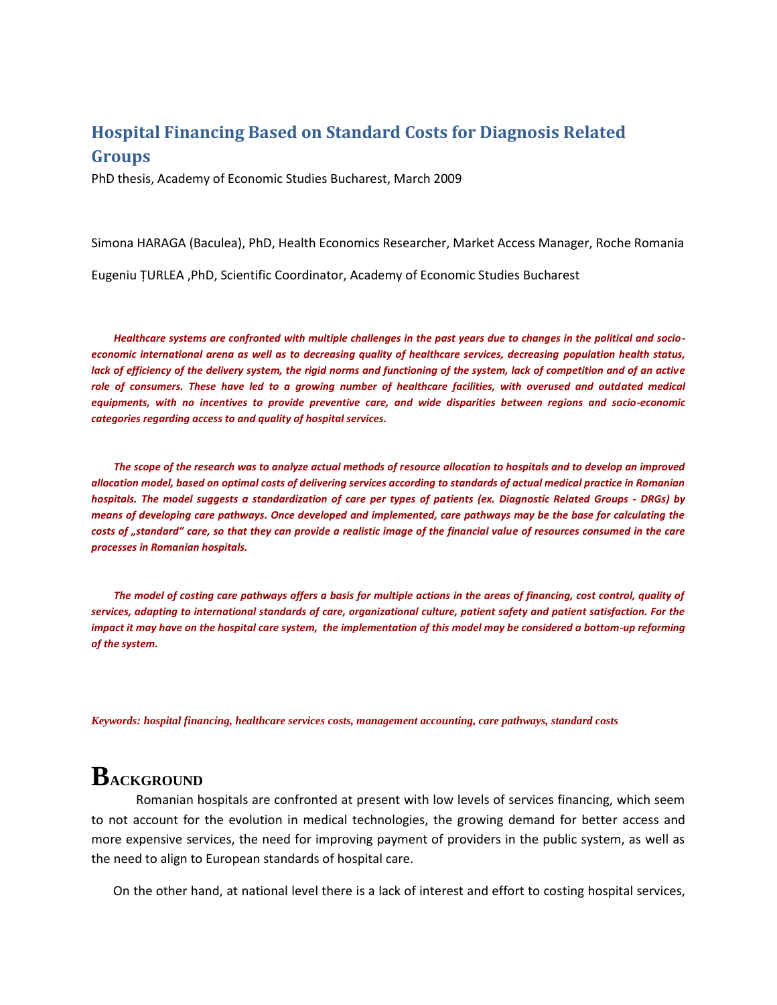#### **Hospital Financing Based on Standard Costs for Diagnosis Related Groups**

PhD thesis, Academy of Economic Studies Bucharest, March 2009

Simona HARAGA (Baculea), PhD, Health Economics Researcher, Market Access Manager, Roche Romania

Eugeniu ŢURLEA ,PhD, Scientific Coordinator, Academy of Economic Studies Bucharest

*Healthcare systems are confronted with multiple challenges in the past years due to changes in the political and socioeconomic international arena as well as to decreasing quality of healthcare services, decreasing population health status,*  lack of efficiency of the delivery system, the rigid norms and functioning of the system, lack of competition and of an active role of consumers. These have led to a growing number of healthcare facilities, with overused and outdated medical *equipments, with no incentives to provide preventive care, and wide disparities between regions and socio-economic categories regarding access to and quality of hospital services.* 

*The scope of the research was to analyze actual methods of resource allocation to hospitals and to develop an improved allocation model, based on optimal costs of delivering services according to standards of actual medical practice in Romanian hospitals. The model suggests a standardization of care per types of patients (ex. Diagnostic Related Groups - DRGs) by means of developing care pathways. Once developed and implemented, care pathways may be the base for calculating the costs of "standard" care, so that they can provide a realistic image of the financial value of resources consumed in the care processes in Romanian hospitals.* 

*The model of costing care pathways offers a basis for multiple actions in the areas of financing, cost control, quality of services, adapting to international standards of care, organizational culture, patient safety and patient satisfaction. For the impact it may have on the hospital care system, the implementation of this model may be considered a bottom-up reforming of the system.*

*Keywords: hospital financing, healthcare services costs, management accounting, care pathways, standard costs*

## **BACKGROUND**

Romanian hospitals are confronted at present with low levels of services financing, which seem to not account for the evolution in medical technologies, the growing demand for better access and more expensive services, the need for improving payment of providers in the public system, as well as the need to align to European standards of hospital care.

On the other hand, at national level there is a lack of interest and effort to costing hospital services,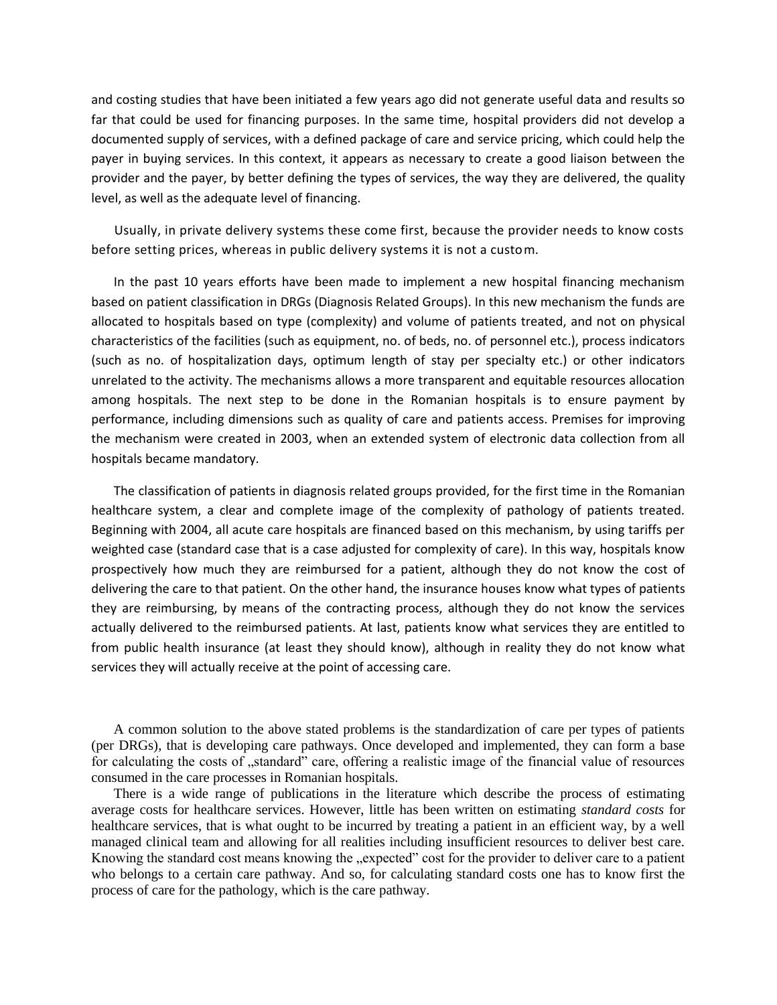and costing studies that have been initiated a few years ago did not generate useful data and results so far that could be used for financing purposes. In the same time, hospital providers did not develop a documented supply of services, with a defined package of care and service pricing, which could help the payer in buying services. In this context, it appears as necessary to create a good liaison between the provider and the payer, by better defining the types of services, the way they are delivered, the quality level, as well as the adequate level of financing.

Usually, in private delivery systems these come first, because the provider needs to know costs before setting prices, whereas in public delivery systems it is not a custom.

In the past 10 years efforts have been made to implement a new hospital financing mechanism based on patient classification in DRGs (Diagnosis Related Groups). In this new mechanism the funds are allocated to hospitals based on type (complexity) and volume of patients treated, and not on physical characteristics of the facilities (such as equipment, no. of beds, no. of personnel etc.), process indicators (such as no. of hospitalization days, optimum length of stay per specialty etc.) or other indicators unrelated to the activity. The mechanisms allows a more transparent and equitable resources allocation among hospitals. The next step to be done in the Romanian hospitals is to ensure payment by performance, including dimensions such as quality of care and patients access. Premises for improving the mechanism were created in 2003, when an extended system of electronic data collection from all hospitals became mandatory.

The classification of patients in diagnosis related groups provided, for the first time in the Romanian healthcare system, a clear and complete image of the complexity of pathology of patients treated. Beginning with 2004, all acute care hospitals are financed based on this mechanism, by using tariffs per weighted case (standard case that is a case adjusted for complexity of care). In this way, hospitals know prospectively how much they are reimbursed for a patient, although they do not know the cost of delivering the care to that patient. On the other hand, the insurance houses know what types of patients they are reimbursing, by means of the contracting process, although they do not know the services actually delivered to the reimbursed patients. At last, patients know what services they are entitled to from public health insurance (at least they should know), although in reality they do not know what services they will actually receive at the point of accessing care.

A common solution to the above stated problems is the standardization of care per types of patients (per DRGs), that is developing care pathways. Once developed and implemented, they can form a base for calculating the costs of "standard" care, offering a realistic image of the financial value of resources consumed in the care processes in Romanian hospitals.

There is a wide range of publications in the literature which describe the process of estimating average costs for healthcare services. However, little has been written on estimating *standard costs* for healthcare services, that is what ought to be incurred by treating a patient in an efficient way, by a well managed clinical team and allowing for all realities including insufficient resources to deliver best care. Knowing the standard cost means knowing the "expected" cost for the provider to deliver care to a patient who belongs to a certain care pathway. And so, for calculating standard costs one has to know first the process of care for the pathology, which is the care pathway.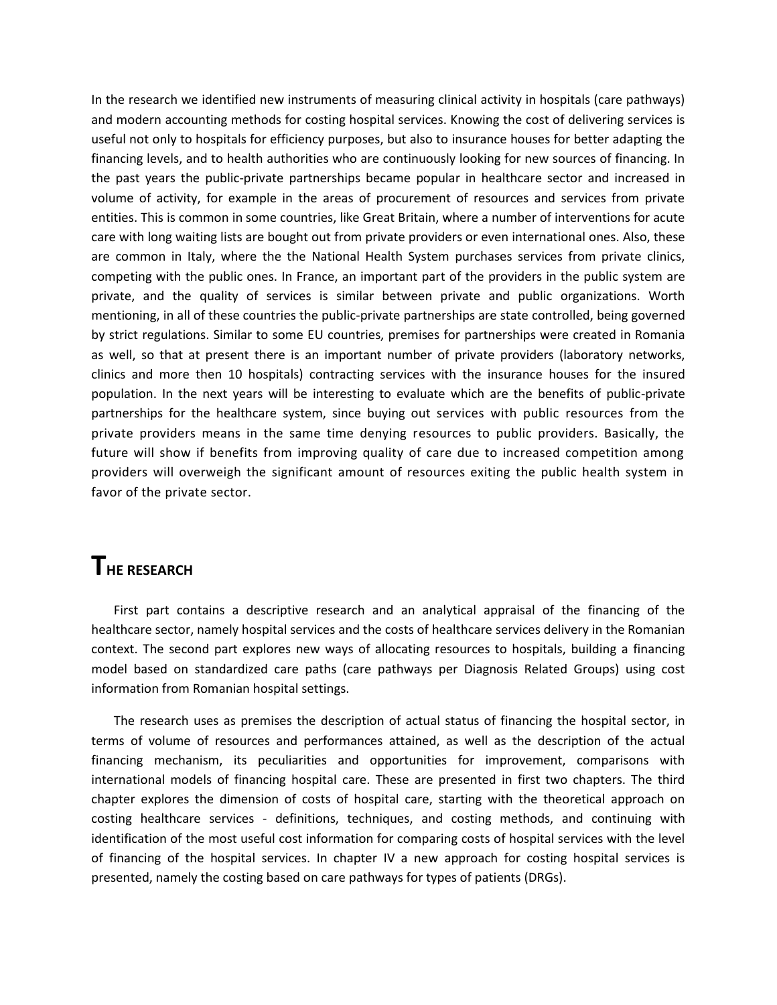In the research we identified new instruments of measuring clinical activity in hospitals (care pathways) and modern accounting methods for costing hospital services. Knowing the cost of delivering services is useful not only to hospitals for efficiency purposes, but also to insurance houses for better adapting the financing levels, and to health authorities who are continuously looking for new sources of financing. In the past years the public-private partnerships became popular in healthcare sector and increased in volume of activity, for example in the areas of procurement of resources and services from private entities. This is common in some countries, like Great Britain, where a number of interventions for acute care with long waiting lists are bought out from private providers or even international ones. Also, these are common in Italy, where the the National Health System purchases services from private clinics, competing with the public ones. In France, an important part of the providers in the public system are private, and the quality of services is similar between private and public organizations. Worth mentioning, in all of these countries the public-private partnerships are state controlled, being governed by strict regulations. Similar to some EU countries, premises for partnerships were created in Romania as well, so that at present there is an important number of private providers (laboratory networks, clinics and more then 10 hospitals) contracting services with the insurance houses for the insured population. In the next years will be interesting to evaluate which are the benefits of public-private partnerships for the healthcare system, since buying out services with public resources from the private providers means in the same time denying resources to public providers. Basically, the future will show if benefits from improving quality of care due to increased competition among providers will overweigh the significant amount of resources exiting the public health system in favor of the private sector.

### **THE RESEARCH**

First part contains a descriptive research and an analytical appraisal of the financing of the healthcare sector, namely hospital services and the costs of healthcare services delivery in the Romanian context. The second part explores new ways of allocating resources to hospitals, building a financing model based on standardized care paths (care pathways per Diagnosis Related Groups) using cost information from Romanian hospital settings.

The research uses as premises the description of actual status of financing the hospital sector, in terms of volume of resources and performances attained, as well as the description of the actual financing mechanism, its peculiarities and opportunities for improvement, comparisons with international models of financing hospital care. These are presented in first two chapters. The third chapter explores the dimension of costs of hospital care, starting with the theoretical approach on costing healthcare services - definitions, techniques, and costing methods, and continuing with identification of the most useful cost information for comparing costs of hospital services with the level of financing of the hospital services. In chapter IV a new approach for costing hospital services is presented, namely the costing based on care pathways for types of patients (DRGs).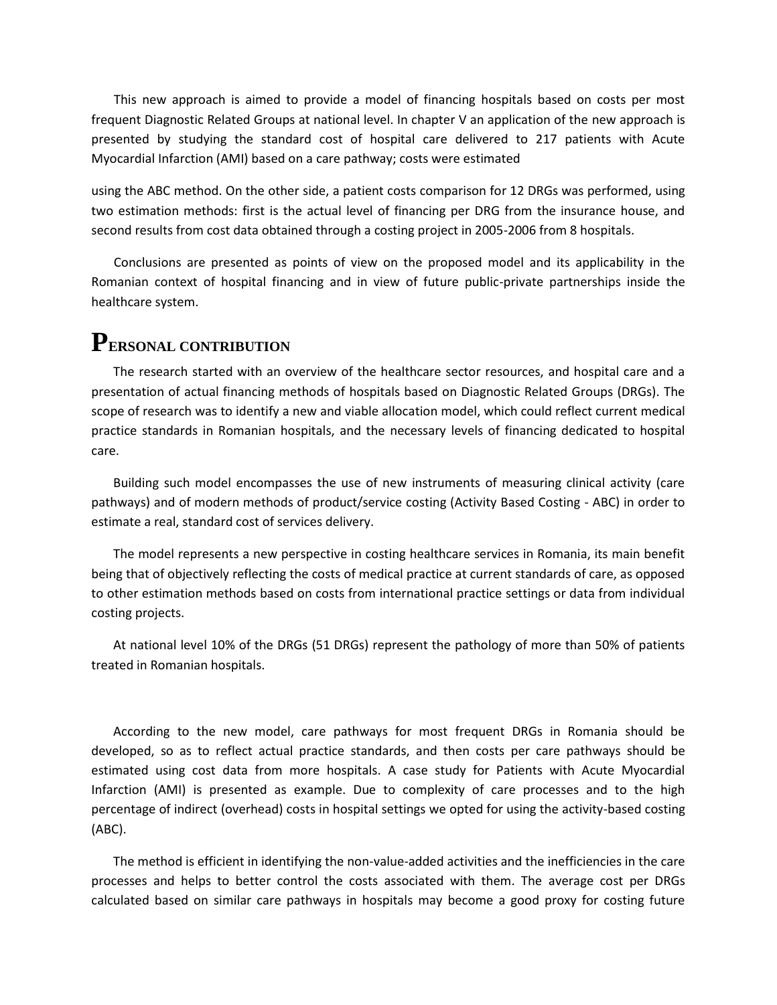This new approach is aimed to provide a model of financing hospitals based on costs per most frequent Diagnostic Related Groups at national level. In chapter V an application of the new approach is presented by studying the standard cost of hospital care delivered to 217 patients with Acute Myocardial Infarction (AMI) based on a care pathway; costs were estimated

using the ABC method. On the other side, a patient costs comparison for 12 DRGs was performed, using two estimation methods: first is the actual level of financing per DRG from the insurance house, and second results from cost data obtained through a costing project in 2005-2006 from 8 hospitals.

Conclusions are presented as points of view on the proposed model and its applicability in the Romanian context of hospital financing and in view of future public-private partnerships inside the healthcare system.

#### **PERSONAL CONTRIBUTION**

The research started with an overview of the healthcare sector resources, and hospital care and a presentation of actual financing methods of hospitals based on Diagnostic Related Groups (DRGs). The scope of research was to identify a new and viable allocation model, which could reflect current medical practice standards in Romanian hospitals, and the necessary levels of financing dedicated to hospital care.

Building such model encompasses the use of new instruments of measuring clinical activity (care pathways) and of modern methods of product/service costing (Activity Based Costing - ABC) in order to estimate a real, standard cost of services delivery.

The model represents a new perspective in costing healthcare services in Romania, its main benefit being that of objectively reflecting the costs of medical practice at current standards of care, as opposed to other estimation methods based on costs from international practice settings or data from individual costing projects.

At national level 10% of the DRGs (51 DRGs) represent the pathology of more than 50% of patients treated in Romanian hospitals.

According to the new model, care pathways for most frequent DRGs in Romania should be developed, so as to reflect actual practice standards, and then costs per care pathways should be estimated using cost data from more hospitals. A case study for Patients with Acute Myocardial Infarction (AMI) is presented as example. Due to complexity of care processes and to the high percentage of indirect (overhead) costs in hospital settings we opted for using the activity-based costing (ABC).

The method is efficient in identifying the non-value-added activities and the inefficiencies in the care processes and helps to better control the costs associated with them. The average cost per DRGs calculated based on similar care pathways in hospitals may become a good proxy for costing future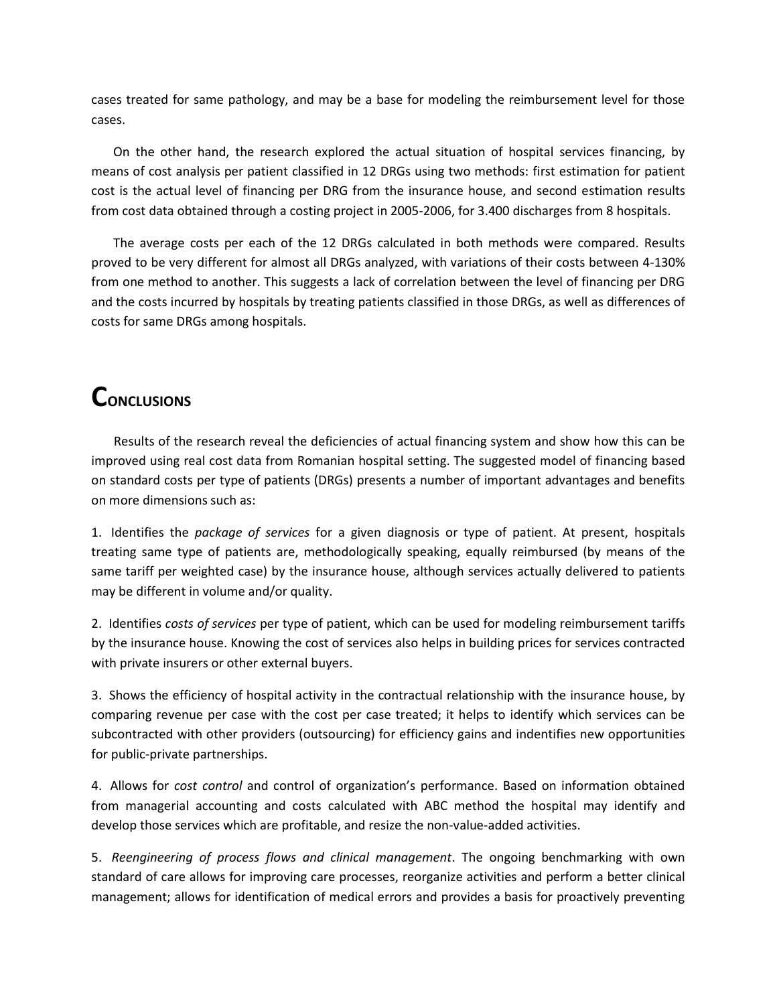cases treated for same pathology, and may be a base for modeling the reimbursement level for those cases.

On the other hand, the research explored the actual situation of hospital services financing, by means of cost analysis per patient classified in 12 DRGs using two methods: first estimation for patient cost is the actual level of financing per DRG from the insurance house, and second estimation results from cost data obtained through a costing project in 2005-2006, for 3.400 discharges from 8 hospitals.

The average costs per each of the 12 DRGs calculated in both methods were compared. Results proved to be very different for almost all DRGs analyzed, with variations of their costs between 4-130% from one method to another. This suggests a lack of correlation between the level of financing per DRG and the costs incurred by hospitals by treating patients classified in those DRGs, as well as differences of costs for same DRGs among hospitals.

# **CONCLUSIONS**

Results of the research reveal the deficiencies of actual financing system and show how this can be improved using real cost data from Romanian hospital setting. The suggested model of financing based on standard costs per type of patients (DRGs) presents a number of important advantages and benefits on more dimensions such as:

1. Identifies the *package of services* for a given diagnosis or type of patient. At present, hospitals treating same type of patients are, methodologically speaking, equally reimbursed (by means of the same tariff per weighted case) by the insurance house, although services actually delivered to patients may be different in volume and/or quality.

2. Identifies *costs of services* per type of patient, which can be used for modeling reimbursement tariffs by the insurance house. Knowing the cost of services also helps in building prices for services contracted with private insurers or other external buyers.

3. Shows the efficiency of hospital activity in the contractual relationship with the insurance house, by comparing revenue per case with the cost per case treated; it helps to identify which services can be subcontracted with other providers (outsourcing) for efficiency gains and indentifies new opportunities for public-private partnerships.

4. Allows for *cost control* and control of organization's performance. Based on information obtained from managerial accounting and costs calculated with ABC method the hospital may identify and develop those services which are profitable, and resize the non-value-added activities.

5. *Reengineering of process flows and clinical management*. The ongoing benchmarking with own standard of care allows for improving care processes, reorganize activities and perform a better clinical management; allows for identification of medical errors and provides a basis for proactively preventing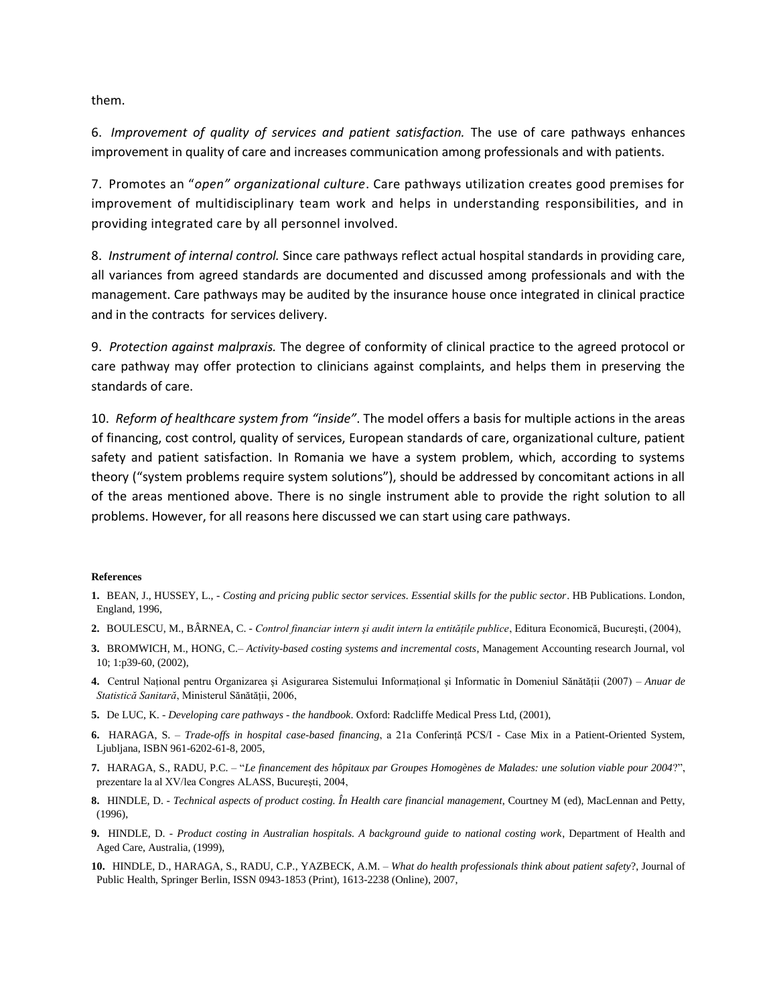them.

6. *Improvement of quality of services and patient satisfaction.* The use of care pathways enhances improvement in quality of care and increases communication among professionals and with patients.

7. Promotes an "*open" organizational culture*. Care pathways utilization creates good premises for improvement of multidisciplinary team work and helps in understanding responsibilities, and in providing integrated care by all personnel involved.

8. *Instrument of internal control.* Since care pathways reflect actual hospital standards in providing care, all variances from agreed standards are documented and discussed among professionals and with the management. Care pathways may be audited by the insurance house once integrated in clinical practice and in the contracts for services delivery.

9. *Protection against malpraxis.* The degree of conformity of clinical practice to the agreed protocol or care pathway may offer protection to clinicians against complaints, and helps them in preserving the standards of care.

10. *Reform of healthcare system from "inside"*. The model offers a basis for multiple actions in the areas of financing, cost control, quality of services, European standards of care, organizational culture, patient safety and patient satisfaction. In Romania we have a system problem, which, according to systems theory ("system problems require system solutions"), should be addressed by concomitant actions in all of the areas mentioned above. There is no single instrument able to provide the right solution to all problems. However, for all reasons here discussed we can start using care pathways.

#### **References**

- **1.** BEAN, J., HUSSEY, L., *Costing and pricing public sector services. Essential skills for the public sector*. HB Publications. London, England, 1996,
- **2.** BOULESCU, M., BÂRNEA, C. *Control financiar intern şi audit intern la entităţile publice*, Editura Economică, Bucureşti, (2004),
- **3.** BROMWICH, M., HONG, C.– *Activity-based costing systems and incremental costs*, Management Accounting research Journal, vol 10; 1:p39-60, (2002),
- **4.** Centrul Naţional pentru Organizarea şi Asigurarea Sistemului Informaţional şi Informatic în Domeniul Sănătăţii (2007) *Anuar de Statistică Sanitară*, Ministerul Sănătăţii, 2006,
- **5.** De LUC, K. *Developing care pathways - the handbook*. Oxford: Radcliffe Medical Press Ltd, (2001),
- **6.** HARAGA, S. *Trade-offs in hospital case-based financing*, a 21a Conferinţă PCS/I Case Mix in a Patient-Oriented System, Ljubljana, ISBN 961-6202-61-8, 2005,
- **7.** HARAGA, S., RADU, P.C. "*Le financement des hôpitaux par Groupes Homogènes de Malades: une solution viable pour 2004*?", prezentare la al XV/lea Congres ALASS, Bucureşti, 2004,
- **8.** HINDLE, D. *Technical aspects of product costing. În Health care financial management*, Courtney M (ed), MacLennan and Petty, (1996),
- **9.** HINDLE, D. *Product costing in Australian hospitals. A background guide to national costing work*, Department of Health and Aged Care, Australia, (1999),
- **10.** HINDLE, D., HARAGA, S., RADU, C.P., YAZBECK, A.M. *What do health professionals think about patient safety*?, Journal of Public Health, Springer Berlin, ISSN 0943-1853 (Print), 1613-2238 (Online), 2007,